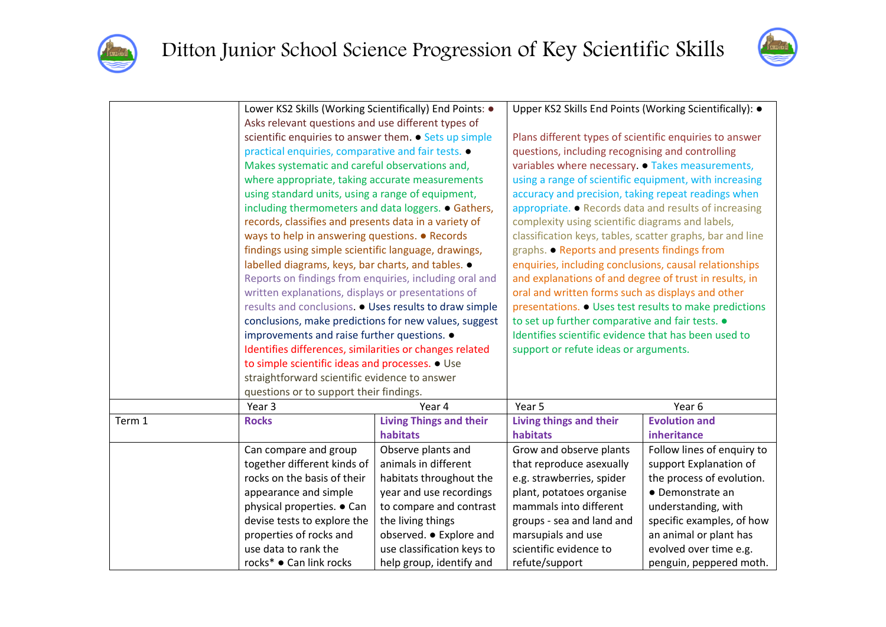



|        | Lower KS2 Skills (Working Scientifically) End Points: .                                                                                                                                                    |                                | Upper KS2 Skills End Points (Working Scientifically): .                                       |                            |  |
|--------|------------------------------------------------------------------------------------------------------------------------------------------------------------------------------------------------------------|--------------------------------|-----------------------------------------------------------------------------------------------|----------------------------|--|
|        | Asks relevant questions and use different types of                                                                                                                                                         |                                |                                                                                               |                            |  |
|        | scientific enquiries to answer them. • Sets up simple                                                                                                                                                      |                                | Plans different types of scientific enquiries to answer                                       |                            |  |
|        | practical enquiries, comparative and fair tests. .                                                                                                                                                         |                                | questions, including recognising and controlling                                              |                            |  |
|        | Makes systematic and careful observations and,                                                                                                                                                             |                                | variables where necessary. • Takes measurements,                                              |                            |  |
|        | where appropriate, taking accurate measurements                                                                                                                                                            |                                | using a range of scientific equipment, with increasing                                        |                            |  |
|        | using standard units, using a range of equipment,                                                                                                                                                          |                                | accuracy and precision, taking repeat readings when                                           |                            |  |
|        | including thermometers and data loggers. • Gathers,                                                                                                                                                        |                                | appropriate. • Records data and results of increasing                                         |                            |  |
|        | records, classifies and presents data in a variety of                                                                                                                                                      |                                | complexity using scientific diagrams and labels,                                              |                            |  |
|        | ways to help in answering questions. • Records                                                                                                                                                             |                                | classification keys, tables, scatter graphs, bar and line                                     |                            |  |
|        | findings using simple scientific language, drawings,                                                                                                                                                       |                                | graphs. • Reports and presents findings from                                                  |                            |  |
|        | labelled diagrams, keys, bar charts, and tables. •                                                                                                                                                         |                                | enquiries, including conclusions, causal relationships                                        |                            |  |
|        | Reports on findings from enquiries, including oral and                                                                                                                                                     |                                | and explanations of and degree of trust in results, in                                        |                            |  |
|        | written explanations, displays or presentations of                                                                                                                                                         |                                | oral and written forms such as displays and other                                             |                            |  |
|        | results and conclusions. . Uses results to draw simple                                                                                                                                                     |                                | presentations. • Uses test results to make predictions                                        |                            |  |
|        | conclusions, make predictions for new values, suggest                                                                                                                                                      |                                | to set up further comparative and fair tests. .                                               |                            |  |
|        | improvements and raise further questions. .<br>Identifies differences, similarities or changes related<br>to simple scientific ideas and processes. • Use<br>straightforward scientific evidence to answer |                                | Identifies scientific evidence that has been used to<br>support or refute ideas or arguments. |                            |  |
|        |                                                                                                                                                                                                            |                                |                                                                                               |                            |  |
|        |                                                                                                                                                                                                            |                                |                                                                                               |                            |  |
|        |                                                                                                                                                                                                            |                                |                                                                                               |                            |  |
|        | questions or to support their findings.                                                                                                                                                                    |                                |                                                                                               |                            |  |
|        | Year 3                                                                                                                                                                                                     | Year 4                         | Year 5                                                                                        | Year 6                     |  |
| Term 1 | <b>Rocks</b>                                                                                                                                                                                               | <b>Living Things and their</b> | Living things and their                                                                       | <b>Evolution and</b>       |  |
|        |                                                                                                                                                                                                            | habitats                       | habitats                                                                                      | inheritance                |  |
|        | Can compare and group                                                                                                                                                                                      | Observe plants and             | Grow and observe plants                                                                       | Follow lines of enquiry to |  |
|        | together different kinds of                                                                                                                                                                                | animals in different           | that reproduce asexually                                                                      | support Explanation of     |  |
|        | rocks on the basis of their                                                                                                                                                                                | habitats throughout the        | e.g. strawberries, spider                                                                     | the process of evolution.  |  |
|        | appearance and simple                                                                                                                                                                                      | year and use recordings        | plant, potatoes organise                                                                      | • Demonstrate an           |  |
|        | physical properties. • Can                                                                                                                                                                                 | to compare and contrast        | mammals into different                                                                        | understanding, with        |  |
|        | devise tests to explore the                                                                                                                                                                                | the living things              | groups - sea and land and                                                                     | specific examples, of how  |  |
|        | properties of rocks and                                                                                                                                                                                    | observed. • Explore and        | marsupials and use                                                                            | an animal or plant has     |  |
|        | use data to rank the                                                                                                                                                                                       | use classification keys to     | scientific evidence to                                                                        | evolved over time e.g.     |  |
|        | rocks* ● Can link rocks                                                                                                                                                                                    | help group, identify and       | refute/support                                                                                | penguin, peppered moth.    |  |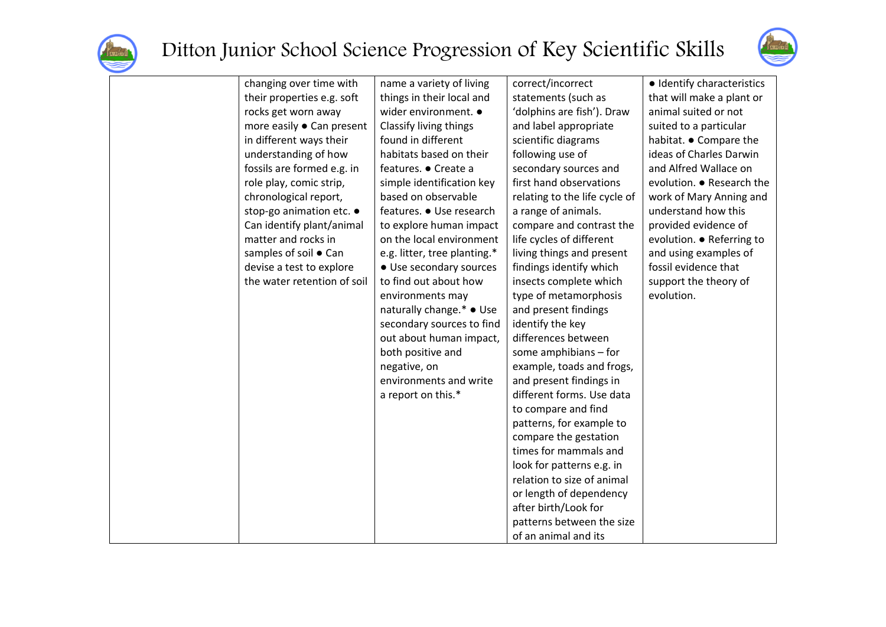



| changing over time with     | name a variety of living     | correct/incorrect             | · Identify characteristics |
|-----------------------------|------------------------------|-------------------------------|----------------------------|
| their properties e.g. soft  | things in their local and    | statements (such as           | that will make a plant or  |
| rocks get worn away         | wider environment. •         | 'dolphins are fish'). Draw    | animal suited or not       |
| more easily ● Can present   | Classify living things       | and label appropriate         | suited to a particular     |
| in different ways their     | found in different           | scientific diagrams           | habitat. • Compare the     |
| understanding of how        | habitats based on their      | following use of              | ideas of Charles Darwin    |
| fossils are formed e.g. in  | features. ● Create a         | secondary sources and         | and Alfred Wallace on      |
| role play, comic strip,     | simple identification key    | first hand observations       | evolution. ● Research the  |
| chronological report,       | based on observable          | relating to the life cycle of | work of Mary Anning and    |
| stop-go animation etc. •    | features. • Use research     | a range of animals.           | understand how this        |
| Can identify plant/animal   | to explore human impact      | compare and contrast the      | provided evidence of       |
| matter and rocks in         | on the local environment     | life cycles of different      | evolution. ● Referring to  |
| samples of soil . Can       | e.g. litter, tree planting.* | living things and present     | and using examples of      |
| devise a test to explore    | • Use secondary sources      | findings identify which       | fossil evidence that       |
| the water retention of soil | to find out about how        | insects complete which        | support the theory of      |
|                             | environments may             | type of metamorphosis         | evolution.                 |
|                             | naturally change.* • Use     | and present findings          |                            |
|                             | secondary sources to find    | identify the key              |                            |
|                             | out about human impact,      | differences between           |                            |
|                             | both positive and            | some amphibians - for         |                            |
|                             | negative, on                 | example, toads and frogs,     |                            |
|                             | environments and write       | and present findings in       |                            |
|                             | a report on this.*           | different forms. Use data     |                            |
|                             |                              | to compare and find           |                            |
|                             |                              | patterns, for example to      |                            |
|                             |                              | compare the gestation         |                            |
|                             |                              | times for mammals and         |                            |
|                             |                              | look for patterns e.g. in     |                            |
|                             |                              | relation to size of animal    |                            |
|                             |                              | or length of dependency       |                            |
|                             |                              | after birth/Look for          |                            |
|                             |                              | patterns between the size     |                            |
|                             |                              | of an animal and its          |                            |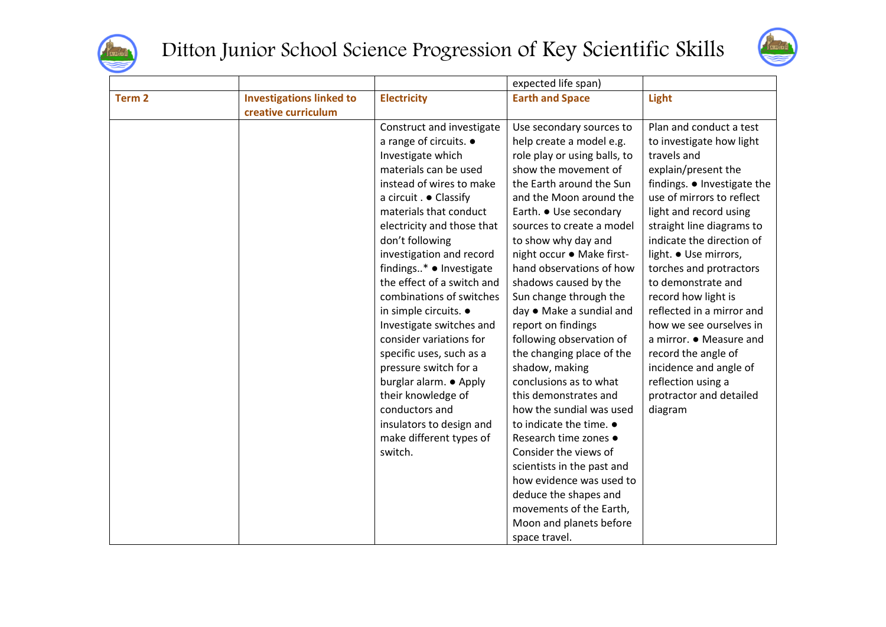

## Ditton Junior School Science Progression of Key Scientific Skills



|                   |                                 |                            | expected life span)             |                             |
|-------------------|---------------------------------|----------------------------|---------------------------------|-----------------------------|
| Term <sub>2</sub> | <b>Investigations linked to</b> | <b>Electricity</b>         | <b>Earth and Space</b>          | Light                       |
|                   | creative curriculum             |                            |                                 |                             |
|                   |                                 | Construct and investigate  | Use secondary sources to        | Plan and conduct a test     |
|                   |                                 | a range of circuits. •     | help create a model e.g.        | to investigate how light    |
|                   |                                 | Investigate which          | role play or using balls, to    | travels and                 |
|                   |                                 | materials can be used      | show the movement of            | explain/present the         |
|                   |                                 | instead of wires to make   | the Earth around the Sun        | findings. • Investigate the |
|                   |                                 | a circuit . • Classify     | and the Moon around the         | use of mirrors to reflect   |
|                   |                                 | materials that conduct     | Earth. ● Use secondary          | light and record using      |
|                   |                                 | electricity and those that | sources to create a model       | straight line diagrams to   |
|                   |                                 | don't following            | to show why day and             | indicate the direction of   |
|                   |                                 | investigation and record   | night occur ● Make first-       | light. • Use mirrors,       |
|                   |                                 | findings* • Investigate    | hand observations of how        | torches and protractors     |
|                   |                                 | the effect of a switch and | shadows caused by the           | to demonstrate and          |
|                   |                                 | combinations of switches   | Sun change through the          | record how light is         |
|                   |                                 | in simple circuits. •      | day ● Make a sundial and        | reflected in a mirror and   |
|                   |                                 | Investigate switches and   | report on findings              | how we see ourselves in     |
|                   |                                 | consider variations for    | following observation of        | a mirror. • Measure and     |
|                   |                                 | specific uses, such as a   | the changing place of the       | record the angle of         |
|                   |                                 | pressure switch for a      | shadow, making                  | incidence and angle of      |
|                   |                                 | burglar alarm. • Apply     | conclusions as to what          | reflection using a          |
|                   |                                 | their knowledge of         | this demonstrates and           | protractor and detailed     |
|                   |                                 | conductors and             | how the sundial was used        | diagram                     |
|                   |                                 | insulators to design and   | to indicate the time. $\bullet$ |                             |
|                   |                                 | make different types of    | Research time zones •           |                             |
|                   |                                 | switch.                    | Consider the views of           |                             |
|                   |                                 |                            | scientists in the past and      |                             |
|                   |                                 |                            | how evidence was used to        |                             |
|                   |                                 |                            | deduce the shapes and           |                             |
|                   |                                 |                            | movements of the Earth,         |                             |
|                   |                                 |                            | Moon and planets before         |                             |
|                   |                                 |                            | space travel.                   |                             |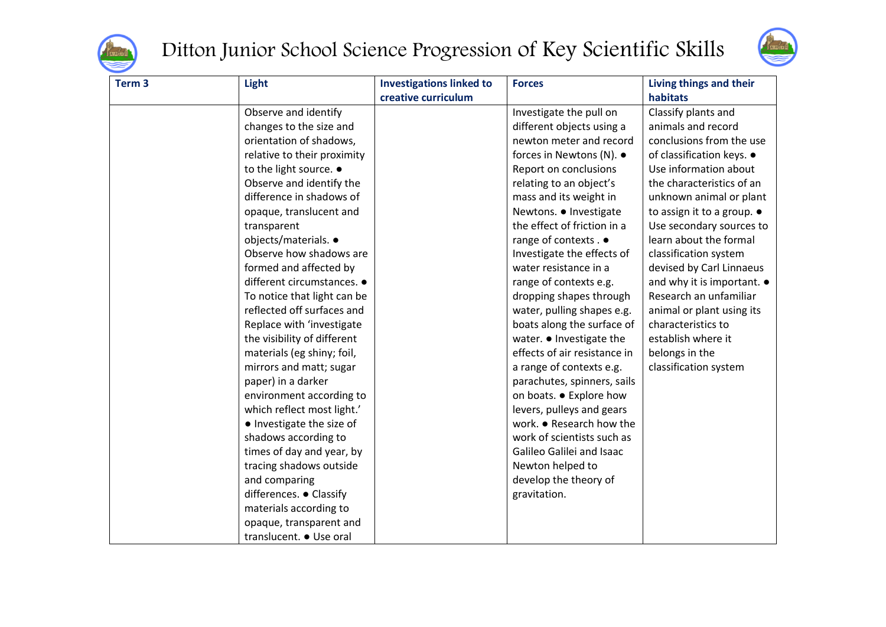

## Ditton Junior School Science Progression of Key Scientific Skills



| Term <sub>3</sub> | Light                       | <b>Investigations linked to</b> | <b>Forces</b>                | Living things and their            |
|-------------------|-----------------------------|---------------------------------|------------------------------|------------------------------------|
|                   |                             | creative curriculum             |                              | habitats                           |
|                   | Observe and identify        |                                 | Investigate the pull on      | Classify plants and                |
|                   | changes to the size and     |                                 | different objects using a    | animals and record                 |
|                   | orientation of shadows,     |                                 | newton meter and record      | conclusions from the use           |
|                   | relative to their proximity |                                 | forces in Newtons (N). ●     | of classification keys. •          |
|                   | to the light source. .      |                                 | Report on conclusions        | Use information about              |
|                   | Observe and identify the    |                                 | relating to an object's      | the characteristics of an          |
|                   | difference in shadows of    |                                 | mass and its weight in       | unknown animal or plant            |
|                   | opaque, translucent and     |                                 | Newtons. . Investigate       | to assign it to a group. $\bullet$ |
|                   | transparent                 |                                 | the effect of friction in a  | Use secondary sources to           |
|                   | objects/materials. •        |                                 | range of contexts . ●        | learn about the formal             |
|                   | Observe how shadows are     |                                 | Investigate the effects of   | classification system              |
|                   | formed and affected by      |                                 | water resistance in a        | devised by Carl Linnaeus           |
|                   | different circumstances. •  |                                 | range of contexts e.g.       | and why it is important. $\bullet$ |
|                   | To notice that light can be |                                 | dropping shapes through      | Research an unfamiliar             |
|                   | reflected off surfaces and  |                                 | water, pulling shapes e.g.   | animal or plant using its          |
|                   | Replace with 'investigate   |                                 | boats along the surface of   | characteristics to                 |
|                   | the visibility of different |                                 | water. • Investigate the     | establish where it                 |
|                   | materials (eg shiny; foil,  |                                 | effects of air resistance in | belongs in the                     |
|                   | mirrors and matt; sugar     |                                 | a range of contexts e.g.     | classification system              |
|                   | paper) in a darker          |                                 | parachutes, spinners, sails  |                                    |
|                   | environment according to    |                                 | on boats. • Explore how      |                                    |
|                   | which reflect most light.'  |                                 | levers, pulleys and gears    |                                    |
|                   | · Investigate the size of   |                                 | work. • Research how the     |                                    |
|                   | shadows according to        |                                 | work of scientists such as   |                                    |
|                   | times of day and year, by   |                                 | Galileo Galilei and Isaac    |                                    |
|                   | tracing shadows outside     |                                 | Newton helped to             |                                    |
|                   | and comparing               |                                 | develop the theory of        |                                    |
|                   | differences. . Classify     |                                 | gravitation.                 |                                    |
|                   | materials according to      |                                 |                              |                                    |
|                   | opaque, transparent and     |                                 |                              |                                    |
|                   | translucent. • Use oral     |                                 |                              |                                    |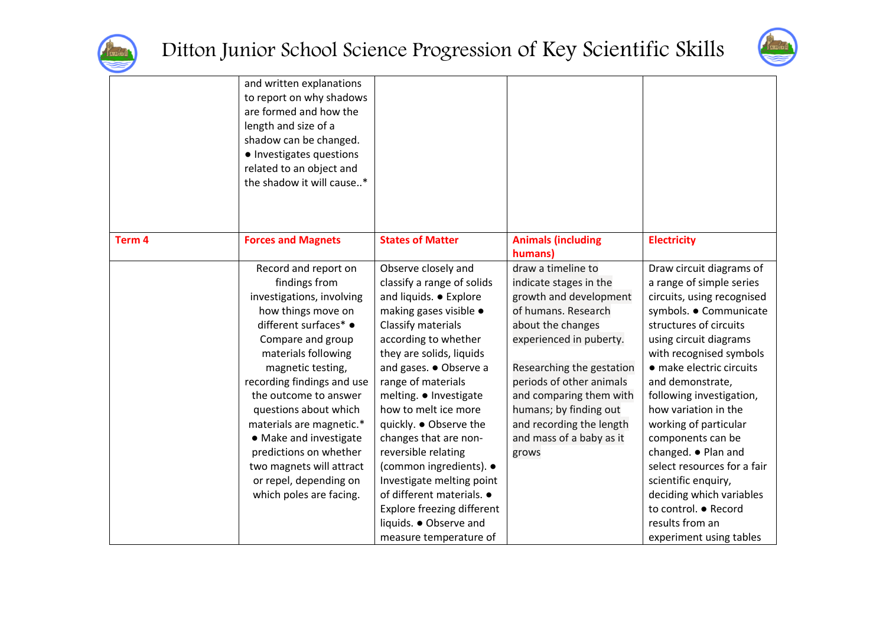



|                   | and written explanations<br>to report on why shadows<br>are formed and how the<br>length and size of a<br>shadow can be changed.<br>• Investigates questions<br>related to an object and<br>the shadow it will cause*                                                                                                                                                                                                               |                                                                                                                                                                                                                                                                                                                                                                                                                                                                                                                                           |                                                                                                                                                                                                                                                                                                                              |                                                                                                                                                                                                                                                                                                                                                                                                                                                                                                                              |
|-------------------|-------------------------------------------------------------------------------------------------------------------------------------------------------------------------------------------------------------------------------------------------------------------------------------------------------------------------------------------------------------------------------------------------------------------------------------|-------------------------------------------------------------------------------------------------------------------------------------------------------------------------------------------------------------------------------------------------------------------------------------------------------------------------------------------------------------------------------------------------------------------------------------------------------------------------------------------------------------------------------------------|------------------------------------------------------------------------------------------------------------------------------------------------------------------------------------------------------------------------------------------------------------------------------------------------------------------------------|------------------------------------------------------------------------------------------------------------------------------------------------------------------------------------------------------------------------------------------------------------------------------------------------------------------------------------------------------------------------------------------------------------------------------------------------------------------------------------------------------------------------------|
| Term <sub>4</sub> | <b>Forces and Magnets</b>                                                                                                                                                                                                                                                                                                                                                                                                           | <b>States of Matter</b>                                                                                                                                                                                                                                                                                                                                                                                                                                                                                                                   | <b>Animals (including</b><br>humans)                                                                                                                                                                                                                                                                                         | <b>Electricity</b>                                                                                                                                                                                                                                                                                                                                                                                                                                                                                                           |
|                   | Record and report on<br>findings from<br>investigations, involving<br>how things move on<br>different surfaces* •<br>Compare and group<br>materials following<br>magnetic testing,<br>recording findings and use<br>the outcome to answer<br>questions about which<br>materials are magnetic.*<br>• Make and investigate<br>predictions on whether<br>two magnets will attract<br>or repel, depending on<br>which poles are facing. | Observe closely and<br>classify a range of solids<br>and liquids. • Explore<br>making gases visible •<br>Classify materials<br>according to whether<br>they are solids, liquids<br>and gases. • Observe a<br>range of materials<br>melting. • Investigate<br>how to melt ice more<br>quickly. . Observe the<br>changes that are non-<br>reversible relating<br>(common ingredients). ●<br>Investigate melting point<br>of different materials. .<br><b>Explore freezing different</b><br>liquids. . Observe and<br>measure temperature of | draw a timeline to<br>indicate stages in the<br>growth and development<br>of humans. Research<br>about the changes<br>experienced in puberty.<br>Researching the gestation<br>periods of other animals<br>and comparing them with<br>humans; by finding out<br>and recording the length<br>and mass of a baby as it<br>grows | Draw circuit diagrams of<br>a range of simple series<br>circuits, using recognised<br>symbols. . Communicate<br>structures of circuits<br>using circuit diagrams<br>with recognised symbols<br>• make electric circuits<br>and demonstrate,<br>following investigation,<br>how variation in the<br>working of particular<br>components can be<br>changed. • Plan and<br>select resources for a fair<br>scientific enquiry,<br>deciding which variables<br>to control. • Record<br>results from an<br>experiment using tables |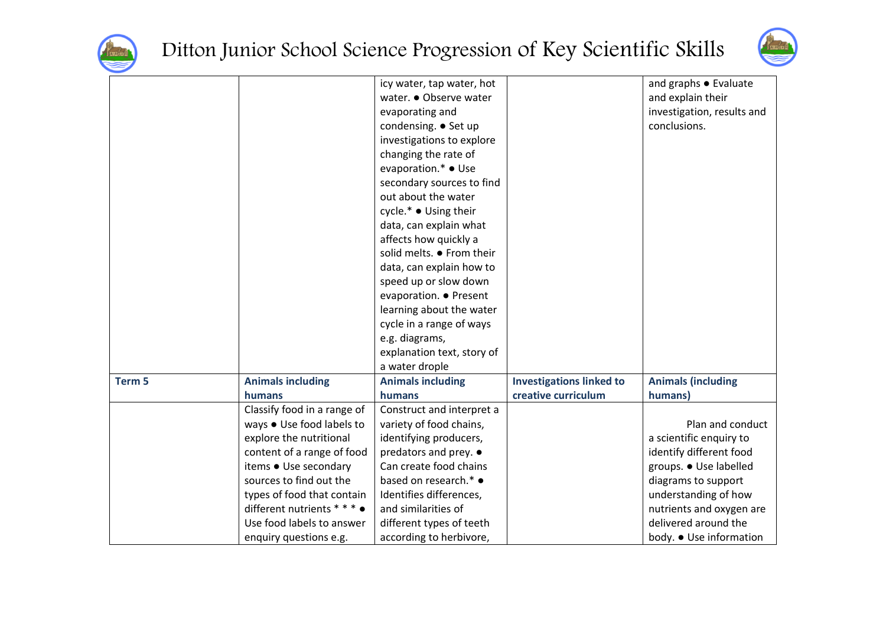



|        |                             | icy water, tap water, hot  |                                 | and graphs • Evaluate      |
|--------|-----------------------------|----------------------------|---------------------------------|----------------------------|
|        |                             | water. ● Observe water     |                                 | and explain their          |
|        |                             | evaporating and            |                                 | investigation, results and |
|        |                             | condensing. ● Set up       |                                 | conclusions.               |
|        |                             | investigations to explore  |                                 |                            |
|        |                             | changing the rate of       |                                 |                            |
|        |                             | evaporation.* ● Use        |                                 |                            |
|        |                             | secondary sources to find  |                                 |                            |
|        |                             | out about the water        |                                 |                            |
|        |                             | cycle.* ● Using their      |                                 |                            |
|        |                             | data, can explain what     |                                 |                            |
|        |                             | affects how quickly a      |                                 |                            |
|        |                             | solid melts. • From their  |                                 |                            |
|        |                             | data, can explain how to   |                                 |                            |
|        |                             | speed up or slow down      |                                 |                            |
|        |                             | evaporation. ● Present     |                                 |                            |
|        |                             | learning about the water   |                                 |                            |
|        |                             | cycle in a range of ways   |                                 |                            |
|        |                             | e.g. diagrams,             |                                 |                            |
|        |                             | explanation text, story of |                                 |                            |
|        |                             | a water drople             |                                 |                            |
| Term 5 | <b>Animals including</b>    | <b>Animals including</b>   | <b>Investigations linked to</b> | <b>Animals (including</b>  |
|        | humans                      | humans                     | creative curriculum             | humans)                    |
|        | Classify food in a range of | Construct and interpret a  |                                 |                            |
|        | ways . Use food labels to   | variety of food chains,    |                                 | Plan and conduct           |
|        | explore the nutritional     | identifying producers,     |                                 | a scientific enquiry to    |
|        | content of a range of food  | predators and prey. •      |                                 | identify different food    |
|        | items ● Use secondary       | Can create food chains     |                                 | groups. • Use labelled     |
|        | sources to find out the     | based on research.* •      |                                 | diagrams to support        |
|        | types of food that contain  | Identifies differences,    |                                 | understanding of how       |
|        | different nutrients * * * • | and similarities of        |                                 | nutrients and oxygen are   |
|        | Use food labels to answer   | different types of teeth   |                                 | delivered around the       |
|        | enquiry questions e.g.      | according to herbivore,    |                                 | body. • Use information    |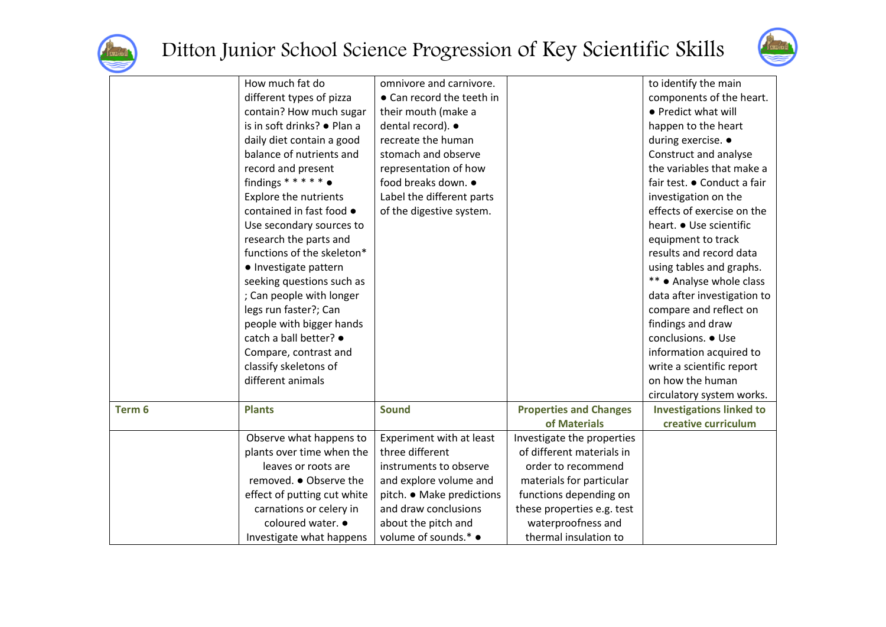



|        | How much fat do             | omnivore and carnivore.   |                               | to identify the main            |
|--------|-----------------------------|---------------------------|-------------------------------|---------------------------------|
|        | different types of pizza    | • Can record the teeth in |                               | components of the heart.        |
|        | contain? How much sugar     | their mouth (make a       |                               | • Predict what will             |
|        | is in soft drinks? • Plan a | dental record). •         |                               | happen to the heart             |
|        | daily diet contain a good   | recreate the human        |                               | during exercise. •              |
|        | balance of nutrients and    | stomach and observe       |                               | Construct and analyse           |
|        | record and present          | representation of how     |                               | the variables that make a       |
|        | findings ******             | food breaks down. ●       |                               | fair test. • Conduct a fair     |
|        | Explore the nutrients       | Label the different parts |                               | investigation on the            |
|        | contained in fast food •    | of the digestive system.  |                               | effects of exercise on the      |
|        | Use secondary sources to    |                           |                               | heart. • Use scientific         |
|        | research the parts and      |                           |                               | equipment to track              |
|        | functions of the skeleton*  |                           |                               | results and record data         |
|        | · Investigate pattern       |                           |                               | using tables and graphs.        |
|        | seeking questions such as   |                           |                               | ** • Analyse whole class        |
|        | ; Can people with longer    |                           |                               | data after investigation to     |
|        | legs run faster?; Can       |                           |                               | compare and reflect on          |
|        | people with bigger hands    |                           |                               | findings and draw               |
|        | catch a ball better? ●      |                           |                               | conclusions. • Use              |
|        | Compare, contrast and       |                           |                               | information acquired to         |
|        | classify skeletons of       |                           |                               | write a scientific report       |
|        | different animals           |                           |                               | on how the human                |
|        |                             |                           |                               | circulatory system works.       |
| Term 6 | <b>Plants</b>               | <b>Sound</b>              | <b>Properties and Changes</b> | <b>Investigations linked to</b> |
|        |                             |                           | of Materials                  | creative curriculum             |
|        | Observe what happens to     | Experiment with at least  | Investigate the properties    |                                 |
|        | plants over time when the   | three different           | of different materials in     |                                 |
|        | leaves or roots are         | instruments to observe    | order to recommend            |                                 |
|        | removed. ● Observe the      | and explore volume and    | materials for particular      |                                 |
|        | effect of putting cut white | pitch. • Make predictions | functions depending on        |                                 |
|        | carnations or celery in     | and draw conclusions      | these properties e.g. test    |                                 |
|        | coloured water. •           | about the pitch and       | waterproofness and            |                                 |
|        | Investigate what happens    | volume of sounds.* ●      | thermal insulation to         |                                 |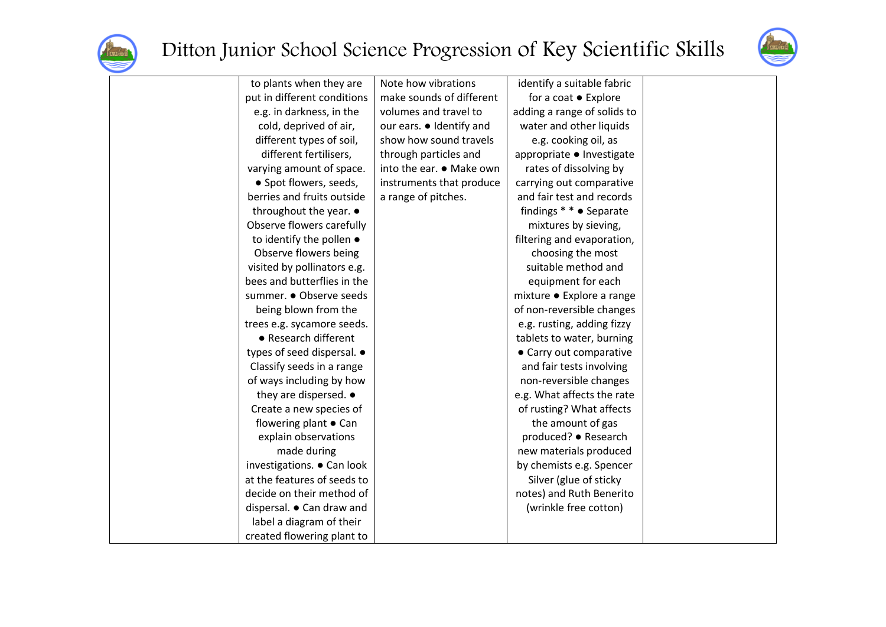



| to plants when they are          | Note how vibrations      | identify a suitable fabric  |  |
|----------------------------------|--------------------------|-----------------------------|--|
| put in different conditions      | make sounds of different | for a coat • Explore        |  |
| e.g. in darkness, in the         | volumes and travel to    | adding a range of solids to |  |
| cold, deprived of air,           | our ears. • Identify and | water and other liquids     |  |
| different types of soil,         | show how sound travels   | e.g. cooking oil, as        |  |
| different fertilisers,           | through particles and    | appropriate ● Investigate   |  |
| varying amount of space.         | into the ear. ● Make own | rates of dissolving by      |  |
| • Spot flowers, seeds,           | instruments that produce | carrying out comparative    |  |
| berries and fruits outside       | a range of pitches.      | and fair test and records   |  |
| throughout the year. •           |                          | findings * * ● Separate     |  |
| Observe flowers carefully        |                          | mixtures by sieving,        |  |
| to identify the pollen $\bullet$ |                          | filtering and evaporation,  |  |
| Observe flowers being            |                          | choosing the most           |  |
| visited by pollinators e.g.      |                          | suitable method and         |  |
| bees and butterflies in the      |                          | equipment for each          |  |
| summer. · Observe seeds          |                          | mixture • Explore a range   |  |
| being blown from the             |                          | of non-reversible changes   |  |
| trees e.g. sycamore seeds.       |                          | e.g. rusting, adding fizzy  |  |
| • Research different             |                          | tablets to water, burning   |  |
| types of seed dispersal. •       |                          | • Carry out comparative     |  |
| Classify seeds in a range        |                          | and fair tests involving    |  |
| of ways including by how         |                          | non-reversible changes      |  |
| they are dispersed. •            |                          | e.g. What affects the rate  |  |
| Create a new species of          |                          | of rusting? What affects    |  |
| flowering plant • Can            |                          | the amount of gas           |  |
| explain observations             |                          | produced? ● Research        |  |
| made during                      |                          | new materials produced      |  |
| investigations. • Can look       |                          | by chemists e.g. Spencer    |  |
| at the features of seeds to      |                          | Silver (glue of sticky      |  |
| decide on their method of        |                          | notes) and Ruth Benerito    |  |
| dispersal. • Can draw and        |                          | (wrinkle free cotton)       |  |
| label a diagram of their         |                          |                             |  |
| created flowering plant to       |                          |                             |  |